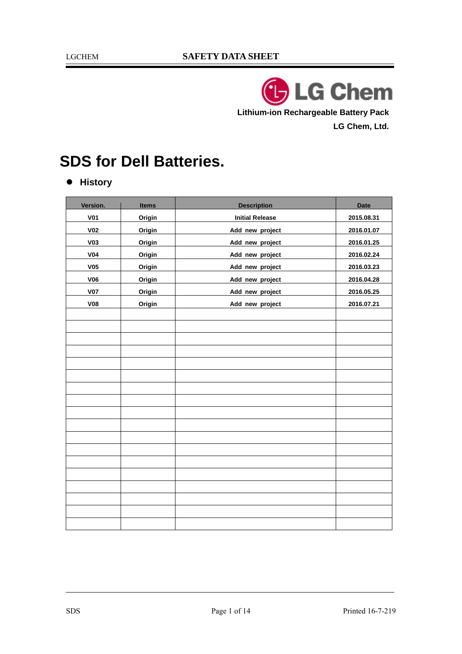**LG Chem Lithium-ion Rechargeable Battery Pack LG Chem, Ltd.** 

# **SDS for Dell Batteries.**

 $\bullet$  History

| Version.        | <b>Items</b> | <b>Description</b>     | <b>Date</b> |
|-----------------|--------------|------------------------|-------------|
|                 |              |                        |             |
| <b>V01</b>      | Origin       | <b>Initial Release</b> | 2015.08.31  |
| V <sub>02</sub> | Origin       | Add new project        | 2016.01.07  |
| <b>V03</b>      | Origin       | Add new project        | 2016.01.25  |
| V <sub>04</sub> | Origin       | Add new project        | 2016.02.24  |
| V <sub>05</sub> | Origin       | Add new project        | 2016.03.23  |
| <b>V06</b>      | Origin       | Add new project        | 2016.04.28  |
| <b>V07</b>      | Origin       | Add new project        | 2016.05.25  |
| V <sub>08</sub> | Origin       | Add new project        | 2016.07.21  |
|                 |              |                        |             |
|                 |              |                        |             |
|                 |              |                        |             |
|                 |              |                        |             |
|                 |              |                        |             |
|                 |              |                        |             |
|                 |              |                        |             |
|                 |              |                        |             |
|                 |              |                        |             |
|                 |              |                        |             |
|                 |              |                        |             |
|                 |              |                        |             |
|                 |              |                        |             |
|                 |              |                        |             |
|                 |              |                        |             |
|                 |              |                        |             |
|                 |              |                        |             |
|                 |              |                        |             |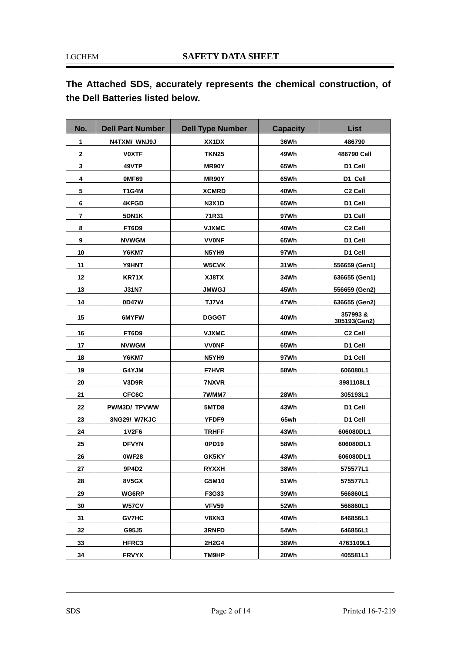**The Attached SDS, accurately represents the chemical construction, of the Dell Batteries listed below.** 

| No. | <b>Dell Part Number</b> | <b>Dell Type Number</b> | <b>Capacity</b> | List                    |
|-----|-------------------------|-------------------------|-----------------|-------------------------|
| 1   | N4TXM/ WNJ9J            | XX1DX                   | 36Wh            | 486790                  |
| 2   | <b>VOXTF</b>            | <b>TKN25</b>            | 49Wh            | 486790 Cell             |
| 3   | 49VTP                   | MR90Y                   | 65Wh            | D1 Cell                 |
| 4   | OMF69                   | MR90Y                   | 65Wh            | D1 Cell                 |
| 5   | T1G4M                   | <b>XCMRD</b>            | 40Wh            | C <sub>2</sub> Cell     |
| 6   | 4KFGD                   | <b>N3X1D</b>            | 65Wh            | D1 Cell                 |
| 7   | 5DN1K                   | 71R31                   | 97Wh            | D1 Cell                 |
| 8   | FT6D9                   | <b>VJXMC</b>            | 40Wh            | C <sub>2</sub> Cell     |
| 9   | <b>NVWGM</b>            | <b>VVONF</b>            | 65Wh            | D1 Cell                 |
| 10  | Y6KM7                   | N5YH9                   | 97Wh            | D1 Cell                 |
| 11  | Y9HNT                   | <b>W5CVK</b>            | 31Wh            | 556659 (Gen1)           |
| 12  | KR71X                   | XJ8TX                   | 34Wh            | 636655 (Gen1)           |
| 13  | <b>J31N7</b>            | <b>JMWGJ</b>            | 45Wh            | 556659 (Gen2)           |
| 14  | 0D47W                   | <b>TJ7V4</b>            | 47Wh            | 636655 (Gen2)           |
| 15  | 6MYFW                   | <b>DGGGT</b>            | 40Wh            | 357993&<br>305193(Gen2) |
| 16  | FT6D9                   | <b>VJXMC</b>            | 40Wh            | C <sub>2</sub> Cell     |
| 17  | <b>NVWGM</b>            | <b>VVONF</b>            | 65Wh            | D1 Cell                 |
| 18  | Y6KM7                   | N5YH9                   | 97Wh            | D1 Cell                 |
| 19  | G4YJM                   | <b>F7HVR</b>            | 58Wh            | 606080L1                |
| 20  | V3D9R                   | 7NXVR                   |                 | 3981108L1               |
| 21  | CFC6C                   | 7WMM7                   | 28Wh            | 305193L1                |
| 22  | <b>PWM3D/TPVWW</b>      | 5MTD8                   | 43Wh            | D1 Cell                 |
| 23  | 3NG29/ W7KJC            | YFDF9                   | 65wh            | D1 Cell                 |
| 24  | 1V2F6                   | <b>TRHFF</b>            | 43Wh            | 606080DL1               |
| 25  | <b>DFVYN</b>            | 0PD19                   | 58Wh            | 606080DL1               |
| 26  | <b>0WF28</b>            | GK5KY                   | 43Wh            | 606080DL1               |
| 27  | 9P4D2                   | <b>RYXXH</b>            | 38Wh            | 575577L1                |
| 28  | 8V5GX                   | G5M10                   | 51Wh            | 575577L1                |
| 29  | WG6RP                   | F3G33                   | 39Wh            | 566860L1                |
| 30  | W57CV                   | VFV59                   | 52Wh            | 566860L1                |
| 31  | <b>GV7HC</b>            | V8XN3                   | 40Wh            | 646856L1                |
| 32  | G95J5                   | 3RNFD                   | 54Wh            | 646856L1                |
| 33  | <b>HFRC3</b>            | 2H2G4                   | 38Wh            | 4763109L1               |
| 34  | <b>FRVYX</b>            | TM9HP                   | 20Wh            | 405581L1                |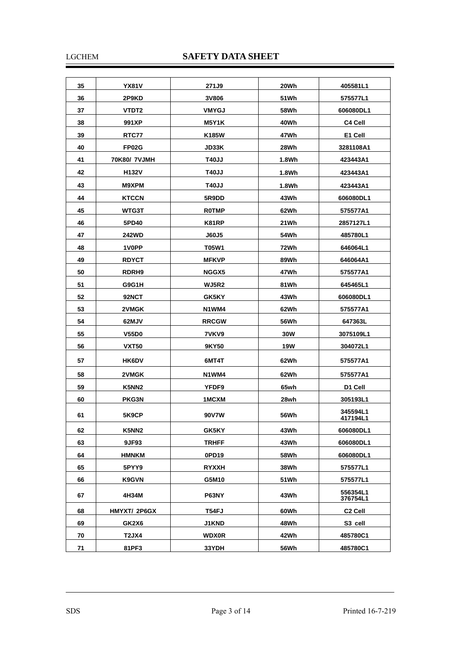#### LGCHEM **SAFETY DATA SHEET**

| 35 | <b>YX81V</b>      | 271J9        | 20Wh       | 405581L1             |
|----|-------------------|--------------|------------|----------------------|
| 36 | 2P9KD             | 3V806        | 51Wh       | 575577L1             |
| 37 | VTDT2             | <b>VMYGJ</b> | 58Wh       | 606080DL1            |
| 38 | 991XP             | <b>M5Y1K</b> | 40Wh       | C4 Cell              |
| 39 | RTC77             | K185W        | 47Wh       | E1 Cell              |
| 40 | FP02G             | <b>JD33K</b> | 28Wh       | 3281108A1            |
| 41 | 70K80/ 7VJMH      | <b>T40JJ</b> | 1.8Wh      | 423443A1             |
| 42 | <b>H132V</b>      | <b>T40JJ</b> | 1.8Wh      | 423443A1             |
| 43 | M9XPM             | <b>T40JJ</b> | 1.8Wh      | 423443A1             |
| 44 | <b>KTCCN</b>      | 5R9DD        | 43Wh       | 606080DL1            |
| 45 | WTG3T             | <b>ROTMP</b> | 62Wh       | 575577A1             |
| 46 | 5PD40             | K81RP        | 21Wh       | 2857127L1            |
| 47 | <b>242WD</b>      | J60J5        | 54Wh       | 485780L1             |
| 48 | 1V0PP             | <b>T05W1</b> | 72Wh       | 646064L1             |
| 49 | <b>RDYCT</b>      | <b>MFKVP</b> | 89Wh       | 646064A1             |
| 50 | RDRH <sub>9</sub> | NGGX5        | 47Wh       | 575577A1             |
| 51 | G9G1H             | <b>WJ5R2</b> | 81Wh       | 645465L1             |
| 52 | 92NCT             | GK5KY        | 43Wh       | 606080DL1            |
| 53 | 2VMGK             | N1WM4        | 62Wh       | 575577A1             |
| 54 | 62MJV             | <b>RRCGW</b> | 56Wh       | 647363L              |
| 55 | <b>V55D0</b>      | 7VKV9        | <b>30W</b> | 3075109L1            |
| 56 | <b>VXT50</b>      | 9KY50        | <b>19W</b> | 304072L1             |
| 57 | <b>HK6DV</b>      | 6MT4T        | 62Wh       | 575577A1             |
| 58 | 2VMGK             | N1WM4        | 62Wh       | 575577A1             |
| 59 | K5NN <sub>2</sub> | YFDF9        | 65wh       | D1 Cell              |
| 60 | PKG3N             | 1MCXM        | 28wh       | 305193L1             |
| 61 | 5K9CP             | 90V7W        | 56Wh       | 345594L1<br>417194L1 |
| 62 | K5NN2             | GK5KY        | 43Wh       | 606080DL1            |
| 63 | 9JF93             | <b>TRHFF</b> | 43Wh       | 606080DL1            |
| 64 | HMNKM             | 0PD19        | 58Wh       | 606080DL1            |
| 65 | 5PYY9             | <b>RYXXH</b> | 38Wh       | 575577L1             |
| 66 | <b>K9GVN</b>      | G5M10        | 51 Wh      | 575577L1             |
| 67 | 4H34M             | P63NY        | 43Wh       | 556354L1<br>376754L1 |
| 68 | HMYXT/ 2P6GX      | T54FJ        | 60Wh       | C <sub>2</sub> Cell  |
| 69 | GK2X6             | <b>J1KND</b> | 48Wh       | S <sub>3</sub> cell  |
| 70 | T2JX4             | <b>WDX0R</b> | 42Wh       | 485780C1             |
| 71 | 81PF3             | 33YDH        | 56Wh       | 485780C1             |

Ξ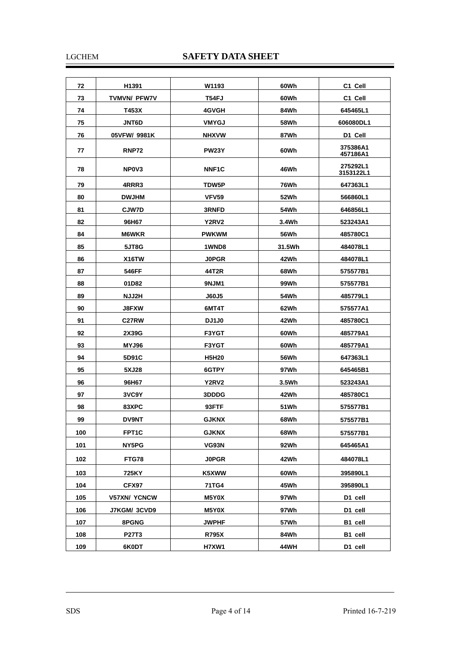#### LGCHEM **SAFETY DATA SHEET**

| 72  | H <sub>1391</sub>              | W1193              | 60Wh   | C1 Cell               |
|-----|--------------------------------|--------------------|--------|-----------------------|
| 73  | <b>TVMVN/ PFW7V</b>            | T54FJ              | 60Wh   | C1 Cell               |
| 74  | T453X                          | 4GVGH              | 84Wh   | 645465L1              |
| 75  | <b>JNT6D</b>                   | <b>VMYGJ</b>       | 58Wh   | 606080DL1             |
| 76  | 05VFW/ 9981K                   | <b>NHXVW</b>       | 87Wh   | D1 Cell               |
| 77  | <b>RNP72</b>                   | <b>PW23Y</b>       | 60Wh   | 375386A1<br>457186A1  |
| 78  | NP <sub>0</sub> V <sub>3</sub> | NNF <sub>1</sub> C | 46Wh   | 275292L1<br>3153122L1 |
| 79  | 4RRR3                          | TDW5P              | 76Wh   | 647363L1              |
| 80  | <b>DWJHM</b>                   | VFV59              | 52Wh   | 566860L1              |
| 81  | <b>CJW7D</b>                   | 3RNFD              | 54Wh   | 646856L1              |
| 82  | 96H67                          | Y2RV2              | 3.4Wh  | 523243A1              |
| 84  | <b>M6WKR</b>                   | <b>PWKWM</b>       | 56Wh   | 485780C1              |
| 85  | 5JT8G                          | 1WND8              | 31.5Wh | 484078L1              |
| 86  | X <sub>16</sub> TW             | <b>JOPGR</b>       | 42Wh   | 484078L1              |
| 87  | 546FF                          | 44T2R              | 68Wh   | 575577B1              |
| 88  | 01D82                          | 9NJM1              | 99Wh   | 575577B1              |
| 89  | NJJ2H                          | <b>J60J5</b>       | 54Wh   | 485779L1              |
| 90  | <b>J8FXW</b>                   | 6MT4T              | 62Wh   | 575577A1              |
| 91  | C27RW                          | <b>DJ1J0</b>       | 42Wh   | 485780C1              |
| 92  | 2X39G                          | F3YGT              | 60Wh   | 485779A1              |
| 93  | MYJ96                          | F3YGT              | 60Wh   | 485779A1              |
| 94  | 5D91C                          | <b>H5H20</b>       | 56Wh   | 647363L1              |
| 95  | 5XJ28                          | 6GTPY              | 97Wh   | 645465B1              |
| 96  | 96H67                          | Y2RV2              | 3.5Wh  | 523243A1              |
| 97  | 3VC9Y                          | 3DDDG              | 42Wh   | 485780C1              |
| 98  | 83XPC                          | 93FTF              | 51Wh   | 575577B1              |
| 99  | <b>DV9NT</b>                   | <b>GJKNX</b>       | 68Wh   | 575577B1              |
| 100 | FPT1C                          | <b>GJKNX</b>       | 68Wh   | 575577B1              |
| 101 | NY5PG                          | VG93N              | 92Wh   | 645465A1              |
| 102 | FTG78                          | <b>J0PGR</b>       | 42Wh   | 484078L1              |
| 103 | 725KY                          | K5XWW              | 60Wh   | 395890L1              |
| 104 | CFX97                          | 71TG4              | 45Wh   | 395890L1              |
| 105 | <b>V57XN/ YCNCW</b>            | M5Y0X              | 97Wh   | D1 cell               |
| 106 | J7KGM/ 3CVD9                   | M5Y0X              | 97Wh   | D1 cell               |
| 107 | 8PGNG                          | JWPHF              | 57Wh   | B1 cell               |
| 108 | <b>P27T3</b>                   | <b>R795X</b>       | 84Wh   | B1 cell               |
| 109 | 6K0DT                          | <b>H7XW1</b>       | 44WH   | D1 cell               |

Ξ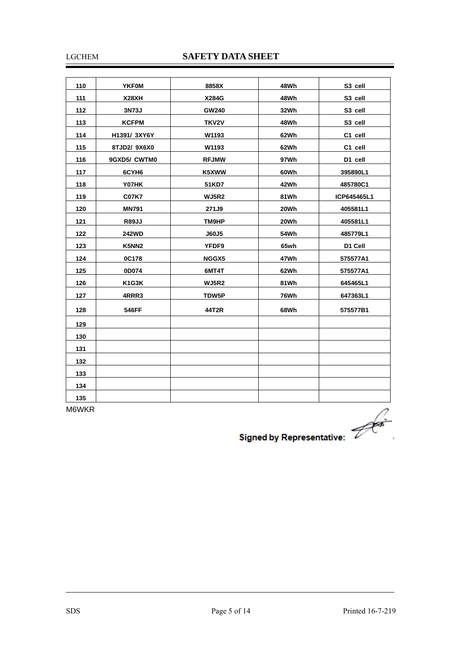#### LGCHEM **SAFETY DATA SHEET**

| 110 | <b>YKFOM</b> | 8858X        | 48Wh        | S3 cell     |
|-----|--------------|--------------|-------------|-------------|
| 111 | <b>X28XH</b> | X284G        | 48Wh        | S3 cell     |
| 112 | 3N73J        | <b>GW240</b> | 32Wh        | S3 cell     |
| 113 | <b>KCFPM</b> | TKV2V        | 48Wh        | S3 cell     |
| 114 | H1391/ 3XY6Y | W1193        | 62Wh        | C1 cell     |
| 115 | 8TJD2/9X6X0  | W1193        | 62Wh        | C1 cell     |
| 116 | 9GXD5/ CWTM0 | <b>RFJMW</b> | 97Wh        | D1 cell     |
| 117 | 6CYH6        | K5XWW        | 60Wh        | 395890L1    |
| 118 | Y07HK        | 51KD7        | 42Wh        | 485780C1    |
| 119 | <b>C07K7</b> | <b>WJ5R2</b> | 81Wh        | ICP645465L1 |
| 120 | <b>MN791</b> | 271J9        | 20Wh        | 405581L1    |
| 121 | <b>R89JJ</b> | TM9HP        | 20Wh        | 405581L1    |
| 122 | <b>242WD</b> | J60J5        | <b>54Wh</b> | 485779L1    |
| 123 | K5NN2        | YFDF9        | 65wh        | D1 Cell     |
| 124 | 0C178        | NGGX5        | 47Wh        | 575577A1    |
| 125 | 0D074        | 6MT4T        | 62Wh        | 575577A1    |
| 126 | K1G3K        | <b>WJ5R2</b> | 81Wh        | 645465L1    |
| 127 | 4RRR3        | TDW5P        | <b>76Wh</b> | 647363L1    |
| 128 | 546FF        | 44T2R        | 68Wh        | 575577B1    |
| 129 |              |              |             |             |
| 130 |              |              |             |             |
| 131 |              |              |             |             |
| 132 |              |              |             |             |
| 133 |              |              |             |             |
| 134 |              |              |             |             |
| 135 |              |              |             |             |

M6WKR

Signed by Representative:

Ξ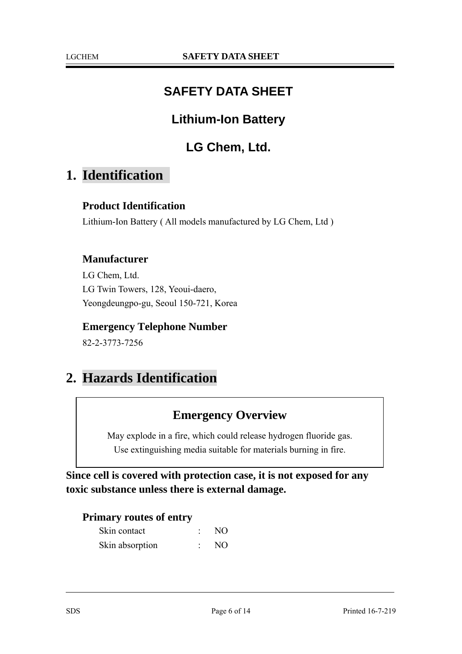## **SAFETY DATA SHEET**

## **Lithium-Ion Battery**

## **LG Chem, Ltd.**

## **1. Identification**

#### **Product Identification**

Lithium-Ion Battery ( All models manufactured by LG Chem, Ltd )

#### **Manufacturer**

LG Chem, Ltd. LG Twin Towers, 128, Yeoui-daero, Yeongdeungpo-gu, Seoul 150-721, Korea

#### **Emergency Telephone Number**

82-2-3773-7256

## **2. Hazards Identification**

### **Emergency Overview**

May explode in a fire, which could release hydrogen fluoride gas. Use extinguishing media suitable for materials burning in fire.

**Since cell is covered with protection case, it is not exposed for any toxic substance unless there is external damage.** 

#### **Primary routes of entry**

| Skin contact    | NO. |
|-----------------|-----|
| Skin absorption | NO. |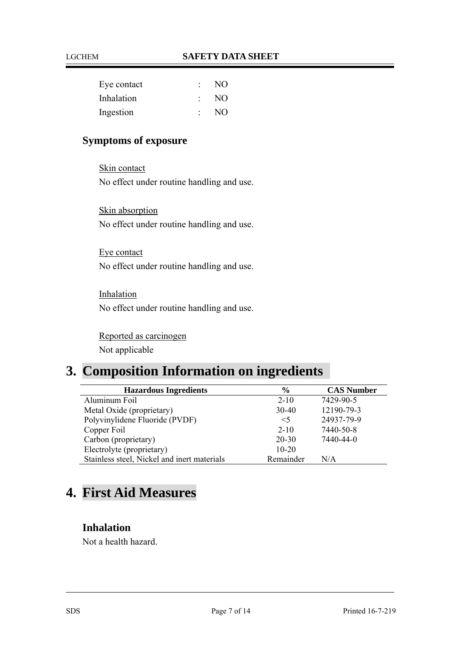| Eye contact | NO. |
|-------------|-----|
| Inhalation  | NO. |
| Ingestion   | NO. |

### **Symptoms of exposure**

Skin contact No effect under routine handling and use.

Skin absorption No effect under routine handling and use.

Eye contact No effect under routine handling and use.

Inhalation No effect under routine handling and use.

Reported as carcinogen Not applicable

## **3. Composition Information on ingredients**

| <b>Hazardous Ingredients</b>                | $\frac{6}{9}$ | <b>CAS Number</b> |
|---------------------------------------------|---------------|-------------------|
| Aluminum Foil                               | $2 - 10$      | 7429-90-5         |
| Metal Oxide (proprietary)                   | $30 - 40$     | 12190-79-3        |
| Polyvinylidene Fluoride (PVDF)              | $\leq$ 5      | 24937-79-9        |
| Copper Foil                                 | $2 - 10$      | 7440-50-8         |
| Carbon (proprietary)                        | $20 - 30$     | 7440-44-0         |
| Electrolyte (proprietary)                   | $10 - 20$     |                   |
| Stainless steel, Nickel and inert materials | Remainder     | N/A               |

# **4. First Aid Measures**

#### **Inhalation**

Not a health hazard.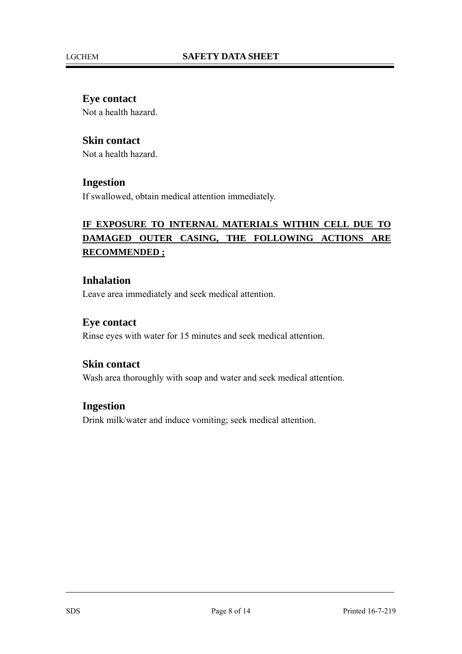#### **Eye contact**

Not a health hazard.

#### **Skin contact**

Not a health hazard.

#### **Ingestion**

If swallowed, obtain medical attention immediately.

### **IF EXPOSURE TO INTERNAL MATERIALS WITHIN CELL DUE TO DAMAGED OUTER CASING, THE FOLLOWING ACTIONS ARE RECOMMENDED ;**

#### **Inhalation**

Leave area immediately and seek medical attention.

#### **Eye contact**

Rinse eyes with water for 15 minutes and seek medical attention.

#### **Skin contact**

Wash area thoroughly with soap and water and seek medical attention.

#### **Ingestion**

Drink milk/water and induce vomiting; seek medical attention.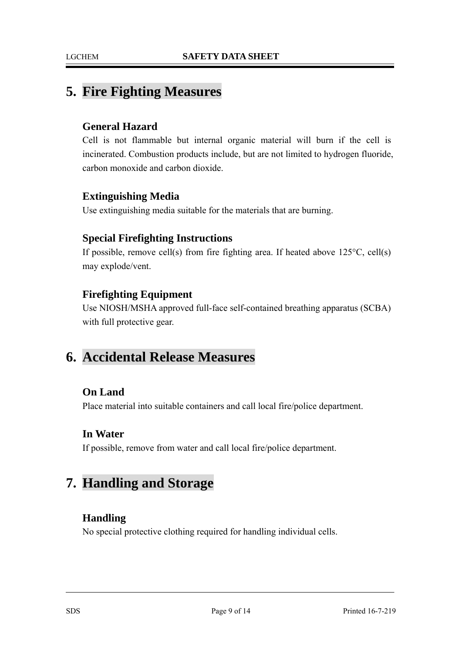## **5. Fire Fighting Measures**

#### **General Hazard**

Cell is not flammable but internal organic material will burn if the cell is incinerated. Combustion products include, but are not limited to hydrogen fluoride, carbon monoxide and carbon dioxide.

#### **Extinguishing Media**

Use extinguishing media suitable for the materials that are burning.

#### **Special Firefighting Instructions**

If possible, remove cell(s) from fire fighting area. If heated above 125°C, cell(s) may explode/vent.

#### **Firefighting Equipment**

Use NIOSH/MSHA approved full-face self-contained breathing apparatus (SCBA) with full protective gear.

## **6. Accidental Release Measures**

#### **On Land**

Place material into suitable containers and call local fire/police department.

#### **In Water**

If possible, remove from water and call local fire/police department.

## **7. Handling and Storage**

#### **Handling**

No special protective clothing required for handling individual cells.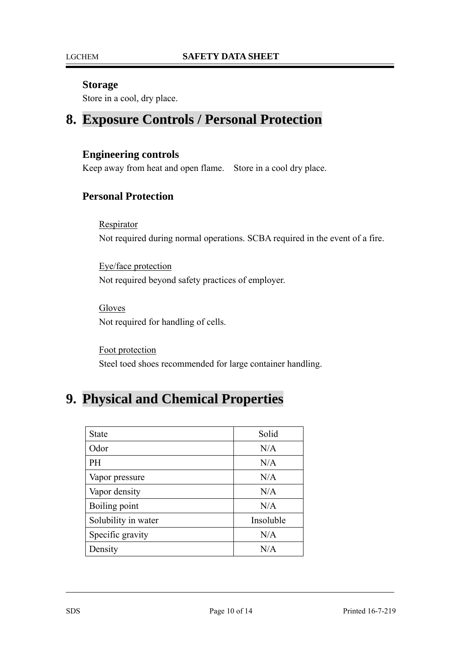#### **Storage**

Store in a cool, dry place.

## **8. Exposure Controls / Personal Protection**

#### **Engineering controls**

Keep away from heat and open flame. Store in a cool dry place.

#### **Personal Protection**

**Respirator** 

Not required during normal operations. SCBA required in the event of a fire.

Eye/face protection Not required beyond safety practices of employer.

Gloves Not required for handling of cells.

Foot protection Steel toed shoes recommended for large container handling.

## **9. Physical and Chemical Properties**

| <b>State</b>        | Solid     |
|---------------------|-----------|
| Odor                | N/A       |
| <b>PH</b>           | N/A       |
| Vapor pressure      | N/A       |
| Vapor density       | N/A       |
| Boiling point       | N/A       |
| Solubility in water | Insoluble |
| Specific gravity    | N/A       |
| Density             | N/A       |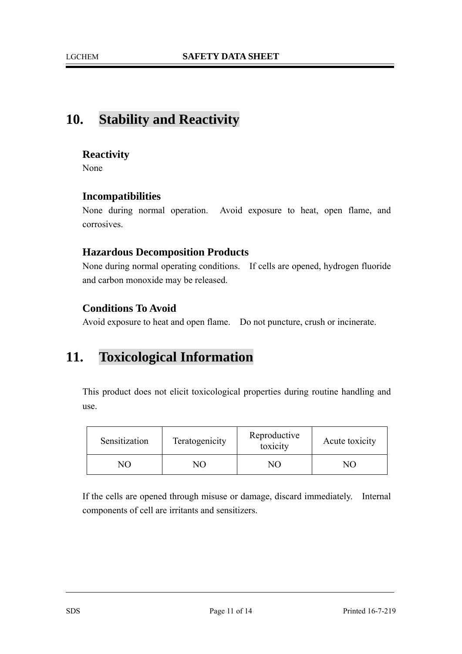## **10. Stability and Reactivity**

#### **Reactivity**

None

#### **Incompatibilities**

None during normal operation. Avoid exposure to heat, open flame, and corrosives.

#### **Hazardous Decomposition Products**

None during normal operating conditions. If cells are opened, hydrogen fluoride and carbon monoxide may be released.

#### **Conditions To Avoid**

Avoid exposure to heat and open flame. Do not puncture, crush or incinerate.

## **11. Toxicological Information**

This product does not elicit toxicological properties during routine handling and use.

| Sensitization | Teratogenicity | Reproductive<br>toxicity | Acute toxicity |
|---------------|----------------|--------------------------|----------------|
| NП            | JО             | $\sqrt{(1)}$             | NO.            |

If the cells are opened through misuse or damage, discard immediately. Internal components of cell are irritants and sensitizers.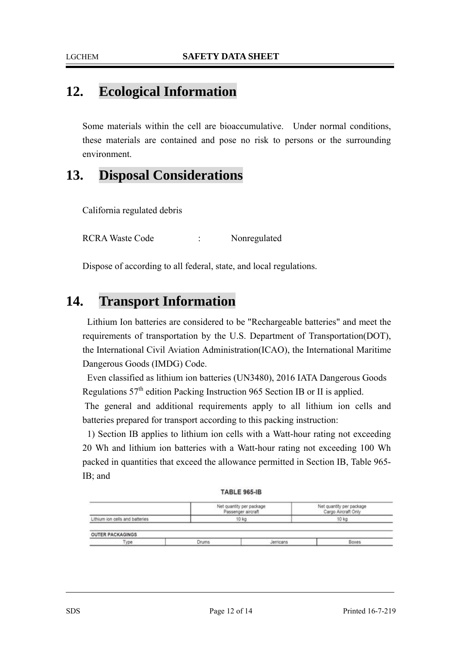## **12. Ecological Information**

Some materials within the cell are bioaccumulative. Under normal conditions, these materials are contained and pose no risk to persons or the surrounding environment.

## **13. Disposal Considerations**

California regulated debris

RCRA Waste Code : Nonregulated

Dispose of according to all federal, state, and local regulations.

## **14. Transport Information**

Lithium Ion batteries are considered to be "Rechargeable batteries" and meet the requirements of transportation by the U.S. Department of Transportation(DOT), the International Civil Aviation Administration(ICAO), the International Maritime Dangerous Goods (IMDG) Code.

Even classified as lithium ion batteries (UN3480), 2016 IATA Dangerous Goods Regulations 57th edition Packing Instruction 965 Section IB or II is applied.

 The general and additional requirements apply to all lithium ion cells and batteries prepared for transport according to this packing instruction:

1) Section IB applies to lithium ion cells with a Watt-hour rating not exceeding 20 Wh and lithium ion batteries with a Watt-hour rating not exceeding 100 Wh packed in quantities that exceed the allowance permitted in Section IB, Table 965- IB; and

| <b>TABLE 965-IB</b> |  |  |  |
|---------------------|--|--|--|
|                     |  |  |  |
|                     |  |  |  |

|                                 | Net quantity per package<br>Passenger aircraft | Net quantity per package<br>Cargo Aircraft Only |
|---------------------------------|------------------------------------------------|-------------------------------------------------|
| Lithium ion cells and batteries | 10 kg                                          | 10 kg                                           |
|                                 |                                                |                                                 |
| .<br><b>OUTER PACKAGINGS</b>    |                                                |                                                 |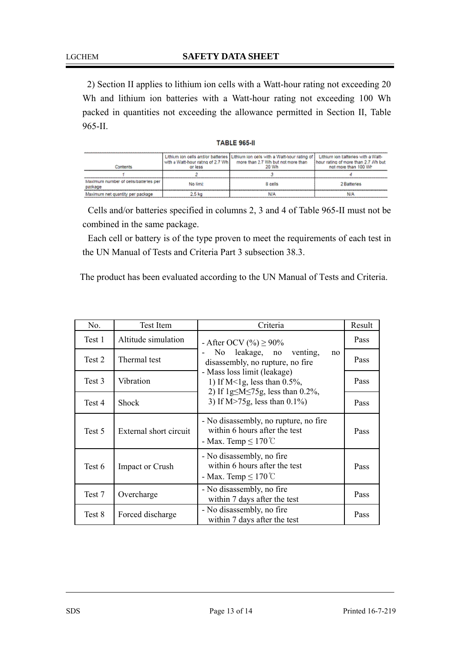2) Section II applies to lithium ion cells with a Watt-hour rating not exceeding 20 Wh and lithium ion batteries with a Watt-hour rating not exceeding 100 Wh packed in quantities not exceeding the allowance permitted in Section II, Table 965-II.

| TABLE 965 | 5. II |  |
|-----------|-------|--|
|           |       |  |

| hathaats                                         | with a Watt-hour ratng of 2.7 Wh.<br>or less | Lithium ion cells anti/or batteries   Lithium ion cells with a Watt-hour rating of ]<br>more than 2.7 Wh but not more than<br>20 Wh | Lithium ion katteries with a Watt-<br>I hour rating of more than 2.7 Mh but<br>not more than 100 Wh |
|--------------------------------------------------|----------------------------------------------|-------------------------------------------------------------------------------------------------------------------------------------|-----------------------------------------------------------------------------------------------------|
|                                                  |                                              |                                                                                                                                     |                                                                                                     |
| Maximum number of cells/battetles per<br>package | No limit                                     | 8 cells                                                                                                                             | 2 Batteries                                                                                         |
| Maximum net quantity per package                 |                                              |                                                                                                                                     |                                                                                                     |

Cells and/or batteries specified in columns 2, 3 and 4 of Table 965-II must not be combined in the same package.

Each cell or battery is of the type proven to meet the requirements of each test in the UN Manual of Tests and Criteria Part 3 subsection 38.3.

The product has been evaluated according to the UN Manual of Tests and Criteria.

| No.    | <b>Test Item</b>       | Criteria                                                                                                                                                                                                                                               | Result |
|--------|------------------------|--------------------------------------------------------------------------------------------------------------------------------------------------------------------------------------------------------------------------------------------------------|--------|
| Test 1 | Altitude simulation    | - After OCV $(\%) \ge 90\%$<br>No leakage, no venting,<br>no<br>disassembly, no rupture, no fire<br>- Mass loss limit (leakage)<br>1) If M<1g, less than $0.5\%$ ,<br>2) If $1g \leq M \leq 75g$ , less than 0.2%,<br>3) If $M > 75g$ , less than 0.1% | Pass   |
| Test 2 | Thermal test           |                                                                                                                                                                                                                                                        | Pass   |
| Test 3 | Vibration              |                                                                                                                                                                                                                                                        | Pass   |
| Test 4 | <b>Shock</b>           |                                                                                                                                                                                                                                                        | Pass   |
| Test 5 | External short circuit | - No disassembly, no rupture, no fire<br>within 6 hours after the test<br>- Max. Temp $\leq 170^{\circ}$ C                                                                                                                                             | Pass   |
| Test 6 | <b>Impact or Crush</b> | - No disassembly, no fire<br>within 6 hours after the test<br>- Max. Temp $\leq 170^{\circ}$ C                                                                                                                                                         | Pass   |
| Test 7 | Overcharge             | - No disassembly, no fire<br>within 7 days after the test                                                                                                                                                                                              | Pass   |
| Test 8 | Forced discharge       | - No disassembly, no fire<br>within 7 days after the test                                                                                                                                                                                              | Pass   |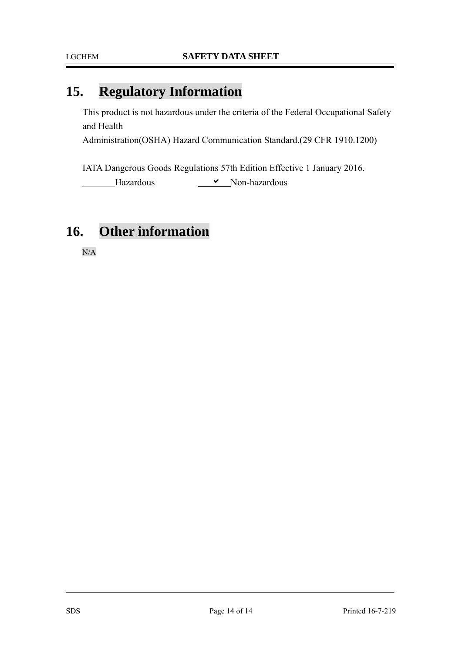# **15. Regulatory Information**

This product is not hazardous under the criteria of the Federal Occupational Safety and Health

Administration(OSHA) Hazard Communication Standard.(29 CFR 1910.1200)

IATA Dangerous Goods Regulations 57th Edition Effective 1 January 2016. Hazardous  $\overline{\phantom{a}}$  Non-hazardous

## **16. Other information**

N/A